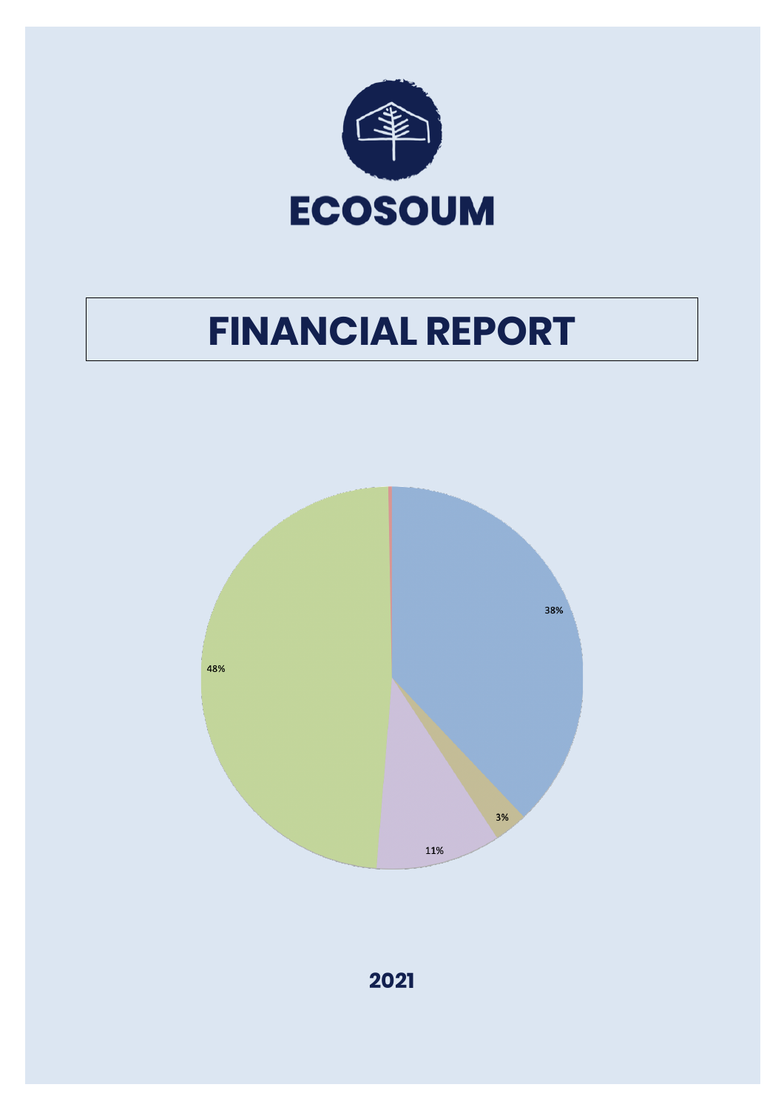

# **FINANCIAL REPORT**



**2021**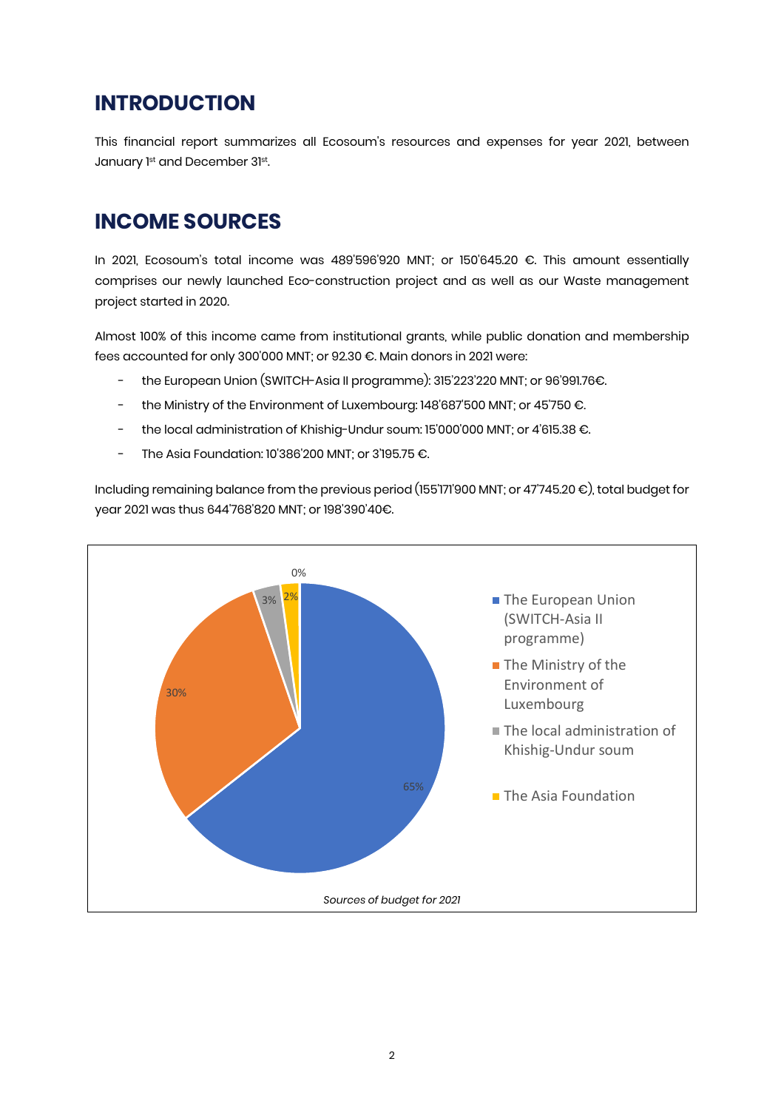### **INTRODUCTION**

This financial report summarizes all Ecosoum's resources and expenses for year 2021, between January 1st and December 31st.

#### **INCOME SOURCES**

In 2021, Ecosoum's total income was 489'596'920 MNT; or 150'645.20 €. This amount essentially comprises our newly launched Eco-construction project and as well as our Waste management project started in 2020.

Almost 100% of this income came from institutional grants, while public donation and membership fees accounted for only 300'000 MNT; or 92.30 €. Main donors in 2021 were:

- the European Union (SWITCH-Asia II programme): 315'223'220 MNT; or 96'991.76€.
- the Ministry of the Environment of Luxembourg: 148'687'500 MNT; or 45'750 €.
- the local administration of Khishig-Undur soum: 15'000'000 MNT; or 4'615.38 €.
- The Asia Foundation: 10'386'200 MNT; or 3'195.75 €.

Including remaining balance from the previous period (155'171'900 MNT; or 47'745.20 €), total budget for year 2021 was thus 644'768'820 MNT; or 198'390'40€.

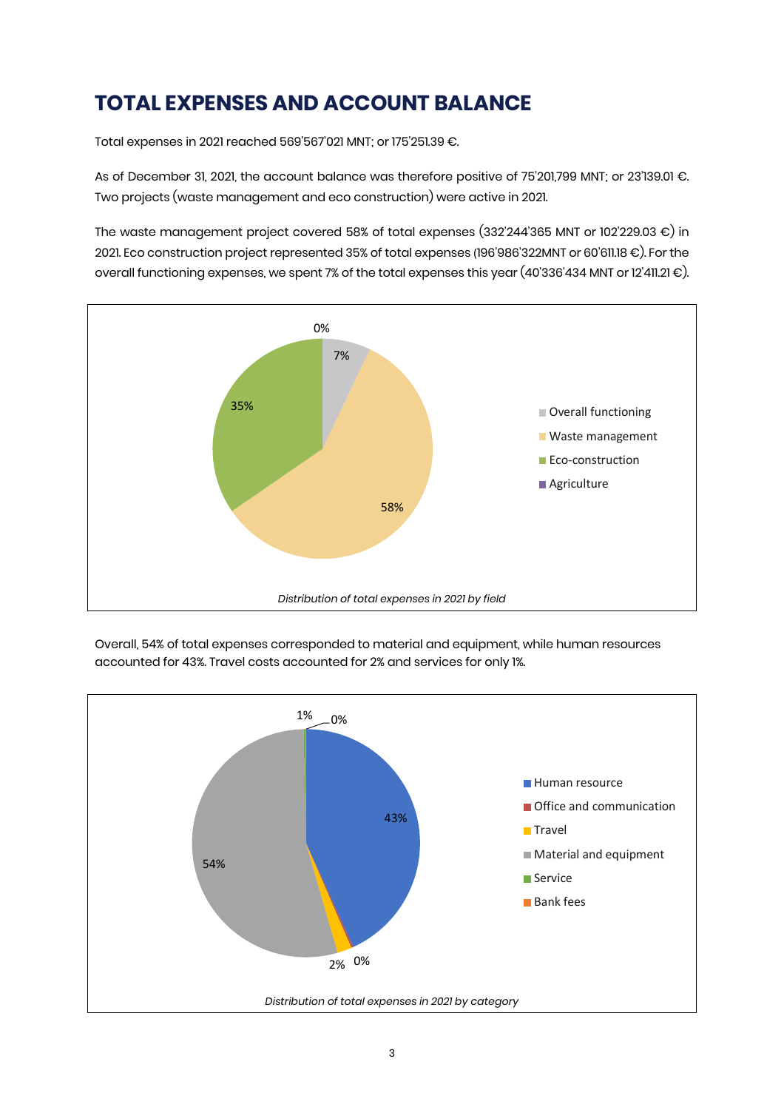# **TOTAL EXPENSES AND ACCOUNT BALANCE**

Total expenses in 2021 reached 569'567'021 MNT; or 175'251.39 €.

As of December 31, 2021, the account balance was therefore positive of 75'201,799 MNT; or 23'139.01 €. Two projects (waste management and eco construction) were active in 2021.

The waste management project covered 58% of total expenses (332'244'365 MNT or 102'229.03 €) in 2021. Eco construction project represented 35% of total expenses (196'986'322MNT or 60'611.18 €). For the overall functioning expenses, we spent 7% of the total expenses this year (40'336'434 MNT or 12'411.21 €).





Overall, 54% of total expenses corresponded to material and equipment, while human resources accounted for 43%. Travel costs accounted for 2% and services for only 1%.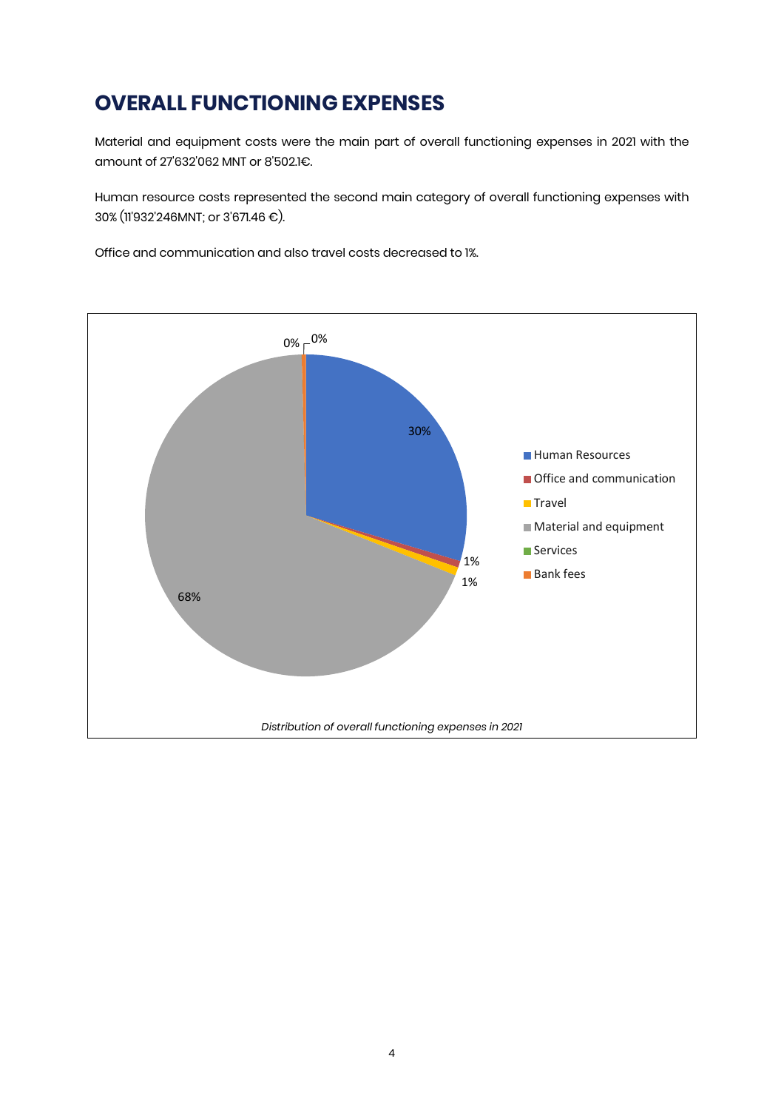# **OVERALL FUNCTIONING EXPENSES**

Material and equipment costs were the main part of overall functioning expenses in 2021 with the amount of 27'632'062 MNT or 8'502.1€.

Human resource costs represented the second main category of overall functioning expenses with 30% (11'932'246MNT; or 3'671.46 €).

Office and communication and also travel costs decreased to 1%.

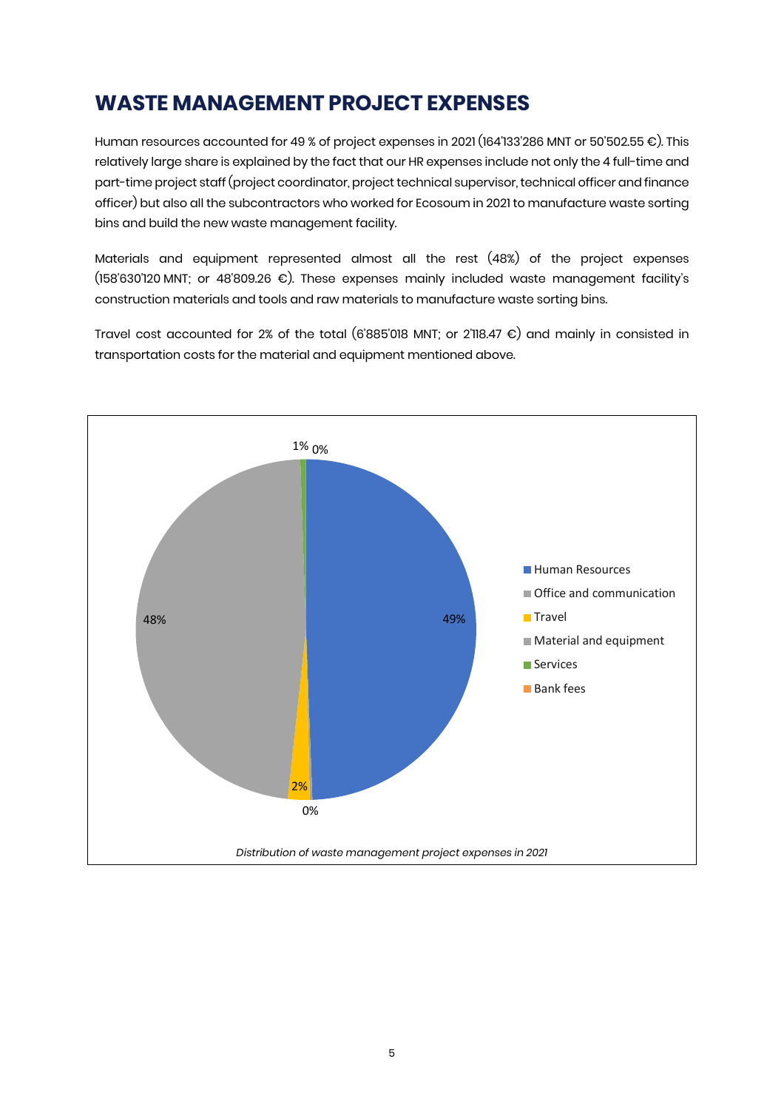## **WASTE MANAGEMENT PROJECT EXPENSES**

Human resources accounted for 49 % of project expenses in 2021 (164'133'286 MNT or 50'502.55 €). This relatively large share is explained by the fact that our HR expenses include not only the 4 full-time and part-time project staff (project coordinator, project technical supervisor, technical officer and finance officer) but also all the subcontractors who worked for Ecosoum in 2021 to manufacture waste sorting bins and build the new waste management facility.

Materials and equipment represented almost all the rest (48%) of the project expenses (158'630'120 MNT; or 48'809.26 €). These expenses mainly included waste management facility's construction materials and tools and raw materials to manufacture waste sorting bins.

Travel cost accounted for 2% of the total (6'885'018 MNT; or 2'118.47 €) and mainly in consisted in transportation costs for the material and equipment mentioned above.